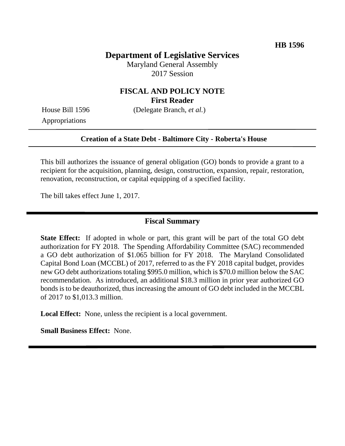## **Department of Legislative Services**

Maryland General Assembly 2017 Session

### **FISCAL AND POLICY NOTE First Reader**

House Bill 1596 (Delegate Branch, *et al.*)

Appropriations

#### **Creation of a State Debt - Baltimore City - Roberta's House**

This bill authorizes the issuance of general obligation (GO) bonds to provide a grant to a recipient for the acquisition, planning, design, construction, expansion, repair, restoration, renovation, reconstruction, or capital equipping of a specified facility.

The bill takes effect June 1, 2017.

#### **Fiscal Summary**

**State Effect:** If adopted in whole or part, this grant will be part of the total GO debt authorization for FY 2018. The Spending Affordability Committee (SAC) recommended a GO debt authorization of \$1.065 billion for FY 2018. The Maryland Consolidated Capital Bond Loan (MCCBL) of 2017, referred to as the FY 2018 capital budget, provides new GO debt authorizations totaling \$995.0 million, which is \$70.0 million below the SAC recommendation. As introduced, an additional \$18.3 million in prior year authorized GO bonds is to be deauthorized, thus increasing the amount of GO debt included in the MCCBL of 2017 to \$1,013.3 million.

**Local Effect:** None, unless the recipient is a local government.

**Small Business Effect:** None.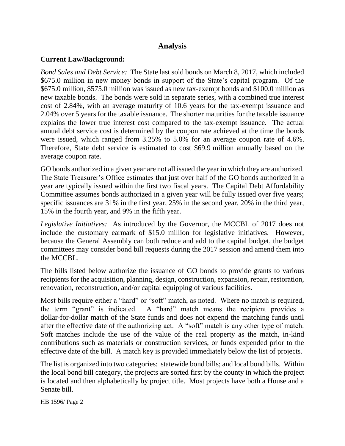## **Analysis**

### **Current Law/Background:**

*Bond Sales and Debt Service:* The State last sold bonds on March 8, 2017, which included \$675.0 million in new money bonds in support of the State's capital program. Of the \$675.0 million, \$575.0 million was issued as new tax-exempt bonds and \$100.0 million as new taxable bonds. The bonds were sold in separate series, with a combined true interest cost of 2.84%, with an average maturity of 10.6 years for the tax-exempt issuance and 2.04% over 5 years for the taxable issuance. The shorter maturities for the taxable issuance explains the lower true interest cost compared to the tax-exempt issuance. The actual annual debt service cost is determined by the coupon rate achieved at the time the bonds were issued, which ranged from 3.25% to 5.0% for an average coupon rate of 4.6%. Therefore, State debt service is estimated to cost \$69.9 million annually based on the average coupon rate.

GO bonds authorized in a given year are not all issued the year in which they are authorized. The State Treasurer's Office estimates that just over half of the GO bonds authorized in a year are typically issued within the first two fiscal years. The Capital Debt Affordability Committee assumes bonds authorized in a given year will be fully issued over five years; specific issuances are 31% in the first year, 25% in the second year, 20% in the third year, 15% in the fourth year, and 9% in the fifth year.

*Legislative Initiatives:* As introduced by the Governor, the MCCBL of 2017 does not include the customary earmark of \$15.0 million for legislative initiatives. However, because the General Assembly can both reduce and add to the capital budget, the budget committees may consider bond bill requests during the 2017 session and amend them into the MCCBL.

The bills listed below authorize the issuance of GO bonds to provide grants to various recipients for the acquisition, planning, design, construction, expansion, repair, restoration, renovation, reconstruction, and/or capital equipping of various facilities.

Most bills require either a "hard" or "soft" match, as noted. Where no match is required, the term "grant" is indicated. A "hard" match means the recipient provides a dollar-for-dollar match of the State funds and does not expend the matching funds until after the effective date of the authorizing act. A "soft" match is any other type of match. Soft matches include the use of the value of the real property as the match, in-kind contributions such as materials or construction services, or funds expended prior to the effective date of the bill. A match key is provided immediately below the list of projects.

The list is organized into two categories: statewide bond bills; and local bond bills. Within the local bond bill category, the projects are sorted first by the county in which the project is located and then alphabetically by project title. Most projects have both a House and a Senate bill.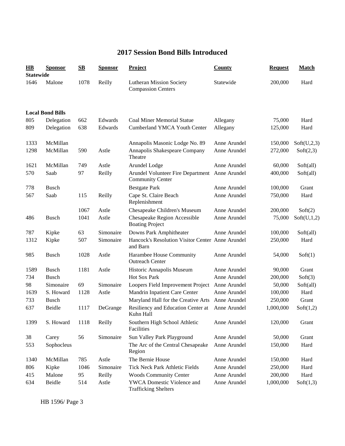## **2017 Session Bond Bills Introduced**

| $\bf{HB}$<br><b>Statewide</b> | <b>Sponsor</b>          | $\mathbf{S}\mathbf{B}$ | <b>Sponsor</b> | <b>Project</b>                                                            | <b>County</b> | <b>Request</b> | <b>Match</b> |
|-------------------------------|-------------------------|------------------------|----------------|---------------------------------------------------------------------------|---------------|----------------|--------------|
| 1646                          | Malone                  | 1078                   | Reilly         | <b>Lutheran Mission Society</b><br><b>Compassion Centers</b>              | Statewide     | 200,000        | Hard         |
|                               | <b>Local Bond Bills</b> |                        |                |                                                                           |               |                |              |
| 805                           | Delegation              | 662                    | Edwards        | <b>Coal Miner Memorial Statue</b>                                         | Allegany      | 75,000         | Hard         |
| 809                           | Delegation              | 638                    | Edwards        | <b>Cumberland YMCA Youth Center</b>                                       | Allegany      | 125,000        | Hard         |
| 1333                          | McMillan                |                        |                | Annapolis Masonic Lodge No. 89                                            | Anne Arundel  | 150,000        | Soft(U,2,3)  |
| 1298                          | McMillan                | 590                    | Astle          | Annapolis Shakespeare Company<br>Theatre                                  | Anne Arundel  | 272,000        | Soft(2,3)    |
| 1621                          | McMillan                | 749                    | Astle          | Arundel Lodge                                                             | Anne Arundel  | 60,000         | Soft(all)    |
| 570                           | Saab                    | 97                     | Reilly         | Arundel Volunteer Fire Department Anne Arundel<br><b>Community Center</b> |               | 400,000        | Soft(all)    |
| 778                           | <b>Busch</b>            |                        |                | <b>Bestgate Park</b>                                                      | Anne Arundel  | 100,000        | Grant        |
| 567                           | Saab                    | 115                    | Reilly         | Cape St. Claire Beach<br>Replenishment                                    | Anne Arundel  | 750,000        | Hard         |
|                               |                         | 1067                   | Astle          | Chesapeake Children's Museum                                              | Anne Arundel  | 200,000        | Soft(2)      |
| 486                           | <b>Busch</b>            | 1041                   | Astle          | Chesapeake Region Accessible<br><b>Boating Project</b>                    | Anne Arundel  | 75,000         | Soft(U,1,2)  |
| 787                           | Kipke                   | 63                     | Simonaire      | Downs Park Amphitheater                                                   | Anne Arundel  | 100,000        | Soft(all)    |
| 1312                          | Kipke                   | 507                    | Simonaire      | Hancock's Resolution Visitor Center Anne Arundel<br>and Barn              |               | 250,000        | Hard         |
| 985                           | <b>Busch</b>            | 1028                   | Astle          | Harambee House Community<br><b>Outreach Center</b>                        | Anne Arundel  | 54,000         | Soft(1)      |
| 1589                          | <b>Busch</b>            | 1181                   | Astle          | Historic Annapolis Museum                                                 | Anne Arundel  | 90,000         | Grant        |
| 734                           | <b>Busch</b>            |                        |                | Hot Sox Park                                                              | Anne Arundel  | 200,000        | Soft(3)      |
| 98                            | Simonaire               | 69                     | Simonaire      | Loopers Field Improvement Project                                         | Anne Arundel  | 50,000         | Soft(all)    |
| 1639                          | S. Howard               | 1128                   | Astle          | Mandrin Inpatient Care Center                                             | Anne Arundel  | 100,000        | Hard         |
| 733                           | <b>Busch</b>            |                        |                | Maryland Hall for the Creative Arts                                       | Anne Arundel  | 250,000        | Grant        |
| 637                           | Beidle                  | 1117                   | DeGrange       | Resiliency and Education Center at<br>Kuhn Hall-                          | Anne Arundel  | 1,000,000      | Soft(1,2)    |
| 1399                          | S. Howard               | 1118                   | Reilly         | Southern High School Athletic<br>Facilities                               | Anne Arundel  | 120,000        | Grant        |
| 38                            | Carey                   | 56                     | Simonaire      | Sun Valley Park Playground                                                | Anne Arundel  | 50,000         | Grant        |
| 553                           | Sophocleus              |                        |                | The Arc of the Central Chesapeake<br>Region                               | Anne Arundel  | 150,000        | Hard         |
| 1340                          | McMillan                | 785                    | Astle          | The Bernie House                                                          | Anne Arundel  | 150,000        | Hard         |
| 806                           | Kipke                   | 1046                   | Simonaire      | Tick Neck Park Athletic Fields                                            | Anne Arundel  | 250,000        | Hard         |
| 415                           | Malone                  | 95                     | Reilly         | <b>Woods Community Center</b>                                             | Anne Arundel  | 200,000        | Hard         |
| 634                           | Beidle                  | 514                    | Astle          | YWCA Domestic Violence and<br><b>Trafficking Shelters</b>                 | Anne Arundel  | 1,000,000      | Soft(1,3)    |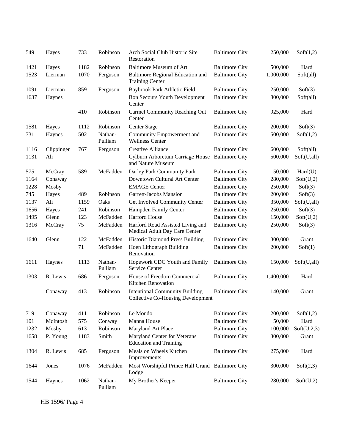| 549  | Hayes      | 733  | Robinson           | Arch Social Club Historic Site<br>Restoration                                     | <b>Baltimore City</b> | 250,000   | Soft(1,2)   |
|------|------------|------|--------------------|-----------------------------------------------------------------------------------|-----------------------|-----------|-------------|
| 1421 | Hayes      | 1182 | Robinson           | <b>Baltimore Museum of Art</b>                                                    | <b>Baltimore City</b> | 500,000   | Hard        |
| 1523 | Lierman    | 1070 | Ferguson           | Baltimore Regional Education and<br><b>Training Center</b>                        | <b>Baltimore City</b> | 1,000,000 | Soft(all)   |
| 1091 | Lierman    | 859  | Ferguson           | Baybrook Park Athletic Field                                                      | <b>Baltimore City</b> | 250,000   | Soft(3)     |
| 1637 | Haynes     |      |                    | <b>Bon Secours Youth Development</b><br>Center                                    | <b>Baltimore City</b> | 800,000   | Soft(all)   |
|      |            | 410  | Robinson           | Carmel Community Reaching Out<br>Center                                           | <b>Baltimore City</b> | 925,000   | Hard        |
| 1581 | Hayes      | 1112 | Robinson           | Center Stage                                                                      | <b>Baltimore City</b> | 200,000   | Soft(3)     |
| 731  | Haynes     | 502  | Nathan-<br>Pulliam | Community Empowerment and<br><b>Wellness Center</b>                               | <b>Baltimore City</b> | 500,000   | Soft(1,2)   |
| 1116 | Clippinger | 767  | Ferguson           | <b>Creative Alliance</b>                                                          | <b>Baltimore City</b> | 600,000   | Soft(all)   |
| 1131 | Ali        |      |                    | Cylburn Arboretum Carriage House<br>and Nature Museum                             | <b>Baltimore City</b> | 500,000   | Soft(U,all) |
| 575  | McCray     | 589  | McFadden           | Darley Park Community Park                                                        | <b>Baltimore City</b> | 50,000    | Hard(U)     |
| 1164 | Conaway    |      |                    | Downtown Cultural Art Center                                                      | <b>Baltimore City</b> | 280,000   | Soft(U,2)   |
| 1228 | Mosby      |      |                    | <b>EMAGE Center</b>                                                               | <b>Baltimore City</b> | 250,000   | Soft(3)     |
| 745  | Hayes      | 489  | Robinson           | Garrett-Jacobs Mansion                                                            | <b>Baltimore City</b> | 200,000   | Soft(3)     |
| 1137 | Ali        | 1159 | Oaks               | Get Involved Community Center                                                     | <b>Baltimore City</b> | 350,000   | Soft(U,all) |
| 1656 | Hayes      | 241  | Robinson           | Hampden Family Center                                                             | <b>Baltimore City</b> | 250,000   | Soft(3)     |
| 1495 | Glenn      | 123  | McFadden           | Harford House                                                                     | <b>Baltimore City</b> | 150,000   | Soft(U,2)   |
| 1316 | McCray     | 75   | McFadden           | Harford Road Assisted Living and<br>Medical Adult Day Care Center                 | <b>Baltimore City</b> | 250,000   | Soft(3)     |
| 1640 | Glenn      | 122  | McFadden           | <b>Historic Diamond Press Building</b>                                            | <b>Baltimore City</b> | 300,000   | Grant       |
|      |            | 71   | McFadden           | Hoen Lithograph Building<br>Renovation                                            | <b>Baltimore City</b> | 200,000   | Soft(1)     |
| 1611 | Haynes     | 1113 | Nathan-<br>Pulliam | Hopework CDC Youth and Family<br>Service Center                                   | <b>Baltimore City</b> | 150,000   | Soft(U,all) |
| 1303 | R. Lewis   | 686  | Ferguson           | House of Freedom Commercial<br>Kitchen Renovation                                 | <b>Baltimore City</b> | 1,400,000 | Hard        |
|      | Conaway    | 413  | Robinson           | <b>Intentional Community Building</b><br><b>Collective Co-Housing Development</b> | <b>Baltimore City</b> | 140,000   | Grant       |
| 719  | Conaway    | 411  | Robinson           | Le Mondo                                                                          | <b>Baltimore City</b> | 200,000   | Soft(1,2)   |
| 101  | McIntosh   | 575  | Conway             | Manna House                                                                       | <b>Baltimore City</b> | 50,000    | Hard        |
| 1232 | Mosby      | 613  | Robinson           | Maryland Art Place                                                                | <b>Baltimore City</b> | 100,000   | Soft(U,2,3) |
| 1658 | P. Young   | 1183 | Smith              | Maryland Center for Veterans<br><b>Education and Training</b>                     | <b>Baltimore City</b> | 300,000   | Grant       |
| 1304 | R. Lewis   | 685  | Ferguson           | Meals on Wheels Kitchen<br>Improvements                                           | <b>Baltimore City</b> | 275,000   | Hard        |
| 1644 | Jones      | 1076 | McFadden           | Most Worshipful Prince Hall Grand Baltimore City<br>Lodge                         |                       | 300,000   | Soft(2,3)   |
| 1544 | Haynes     | 1062 | Nathan-<br>Pulliam | My Brother's Keeper                                                               | <b>Baltimore City</b> | 280,000   | Soft(U,2)   |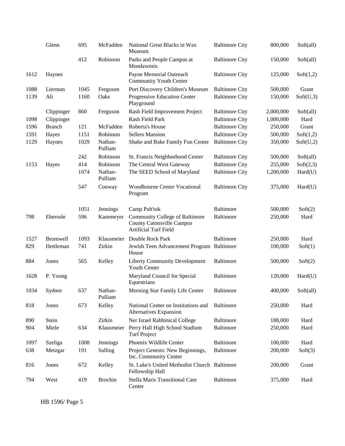|      | Glenn           | 695  | McFadden           | National Great Blacks in Wax<br>Museum                                                             | <b>Baltimore City</b> | 800,000   | Soft(all) |
|------|-----------------|------|--------------------|----------------------------------------------------------------------------------------------------|-----------------------|-----------|-----------|
|      |                 | 412  | Robinson           | Parks and People Campus at<br>Mondawmin                                                            | <b>Baltimore City</b> | 150,000   | Soft(all) |
| 1612 | Haynes          |      |                    | Payne Memorial Outreach<br><b>Community Youth Center</b>                                           | <b>Baltimore City</b> | 125,000   | Soft(1,2) |
| 1088 | Lierman         | 1045 | Ferguson           | Port Discovery Children's Museum                                                                   | <b>Baltimore City</b> | 500,000   | Grant     |
| 1139 | Ali             | 1160 | Oaks               | Progressive Education Center<br>Playground                                                         | <b>Baltimore City</b> | 150,000   | Soft(U,3) |
|      | Clippinger      | 860  | Ferguson           | Rash Field Improvement Project                                                                     | <b>Baltimore City</b> | 2,000,000 | Soft(all) |
| 1098 | Clippinger      |      |                    | Rash Field Park                                                                                    | <b>Baltimore City</b> | 1,000,000 | Hard      |
| 1596 | <b>Branch</b>   | 121  | McFadden           | Roberta's House                                                                                    | <b>Baltimore City</b> | 250,000   | Grant     |
| 1591 | Hayes           | 1151 | Robinson           | <b>Sellers Mansion</b>                                                                             | <b>Baltimore City</b> | 500,000   | Soft(1,2) |
| 1129 | Haynes          | 1029 | Nathan-<br>Pulliam | Shake and Bake Family Fun Center                                                                   | <b>Baltimore City</b> | 350,000   | Soft(U,2) |
|      |                 | 242  | Robinson           | St. Francis Neighborhood Center                                                                    | <b>Baltimore City</b> | 500,000   | Soft(all) |
| 1153 | Hayes           | 414  | Robinson           | The Central West Gateway                                                                           | <b>Baltimore City</b> | 255,000   | Soft(2,3) |
|      |                 | 1074 | Nathan-<br>Pulliam | The SEED School of Maryland                                                                        | <b>Baltimore City</b> | 1,200,000 | Hard(U)   |
|      |                 | 547  | Conway             | Woodbourne Center Vocational<br>Program                                                            | <b>Baltimore City</b> | 375,000   | Hard(U)   |
|      |                 | 1051 | Jennings           | Camp Puh'tok                                                                                       | Baltimore             | 500,000   | Soft(2)   |
| 798  | Ebersole        | 596  | Kasemeyer          | Community College of Baltimore<br><b>County Catonsville Campus</b><br><b>Artificial Turf Field</b> | Baltimore             | 250,000   | Hard      |
| 1527 | <b>Bromwell</b> | 1093 | Klausmeier         | Double Rock Park                                                                                   | Baltimore             | 250,000   | Hard      |
| 829  | Hettleman       | 741  | Zirkin             | Jewish Teen Advancement Program Baltimore<br>House                                                 |                       | 100,000   | Soft(1)   |
| 884  | Jones           | 565  | Kelley             | <b>Liberty Community Development</b><br><b>Youth Center</b>                                        | <b>Baltimore</b>      | 500,000   | Soft(2)   |
| 1628 | P. Young        |      |                    | Maryland Council for Special<br>Equestrians                                                        | <b>Baltimore</b>      | 120,000   | Hard(U)   |
| 1034 | Sydnor          | 637  | Nathan-<br>Pulliam | Morning Star Family Life Center                                                                    | Baltimore             | 400,000   | Soft(all) |
| 818  | Jones           | 673  | Kelley             | National Center on Institutions and<br>Alternatives Expansion                                      | Baltimore             | 250,000   | Hard      |
| 890  | Stein           |      | Zirkin             | Ner Israel Rabbinical College                                                                      | Baltimore             | 188,000   | Hard      |
| 904  | Miele           | 634  | Klausmeier         | Perry Hall High School Stadium<br><b>Turf Project</b>                                              | Baltimore             | 250,000   | Hard      |
| 1097 | Szeliga         | 1008 | Jennings           | Phoenix Wildlife Center                                                                            | Baltimore             | 100,000   | Hard      |
| 638  | Metzgar         | 191  | Salling            | Project Genesis: New Beginnings,<br>Inc. Community Center                                          | Baltimore             | 200,000   | Soft(3)   |
| 816  | Jones           | 672  | Kelley             | St. Luke's United Methodist Church Baltimore<br>Fellowship Hall                                    |                       | 200,000   | Grant     |
| 794  | West            | 419  | <b>Brochin</b>     | Stella Maris Transitional Care<br>Center                                                           | <b>Baltimore</b>      | 375,000   | Hard      |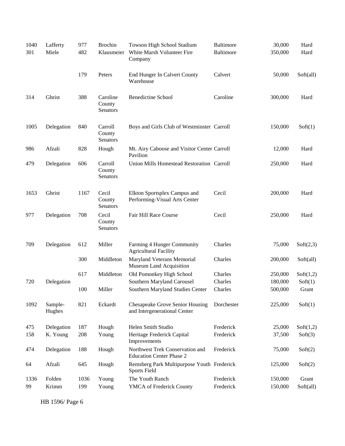| 1040<br>301 | Lafferty<br>Miele | 977<br>482 | <b>Brochin</b><br>Klausmeier   | Towson High School Stadium<br>White Marsh Volunteer Fire<br>Company    | <b>Baltimore</b><br><b>Baltimore</b> | 30,000<br>350,000 | Hard<br>Hard |
|-------------|-------------------|------------|--------------------------------|------------------------------------------------------------------------|--------------------------------------|-------------------|--------------|
|             |                   | 179        | Peters                         | End Hunger In Calvert County<br>Warehouse                              | Calvert                              | 50,000            | Soft(all)    |
| 314         | Ghrist            | 388        | Caroline<br>County<br>Senators | <b>Benedictine School</b>                                              | Caroline                             | 300,000           | Hard         |
| 1005        | Delegation        | 840        | Carroll<br>County<br>Senators  | Boys and Girls Club of Westminster Carroll                             |                                      | 150,000           | Soft(1)      |
| 986         | Afzali            | 828        | Hough                          | Mt. Airy Caboose and Visitor Center Carroll<br>Pavilion                |                                      | 12,000            | Hard         |
| 479         | Delegation        | 606        | Carroll<br>County<br>Senators  | Union Mills Homestead Restoration Carroll                              |                                      | 250,000           | Hard         |
| 1653        | Ghrist            | 1167       | Cecil<br>County<br>Senators    | Elkton Sportsplex Campus and<br>Performing-Visual Arts Center          | Cecil                                | 200,000           | Hard         |
| 977         | Delegation        | 708        | Cecil<br>County<br>Senators    | Fair Hill Race Course                                                  | Cecil                                | 250,000           | Hard         |
| 709         | Delegation        | 612        | Miller                         | Farming 4 Hunger Community<br><b>Agricultural Facility</b>             | Charles                              | 75,000            | Soft(2,3)    |
|             |                   | 300        | Middleton                      | Maryland Veterans Memorial<br>Museum Land Acquisition                  | Charles                              | 200,000           | Soft(all)    |
|             |                   | 617        | Middleton                      | Old Pomonkey High School                                               | Charles                              | 250,000           | Soft(1,2)    |
| 720         | Delegation        |            |                                | Southern Maryland Carousel                                             | Charles                              | 180,000           | Soft(1)      |
|             |                   | 100        | Miller                         | Southern Maryland Studies Center                                       | Charles                              | 500,000           | Grant        |
| 1092        | Sample-<br>Hughes | 821        | Eckardt                        | <b>Chesapeake Grove Senior Housing</b><br>and Intergenerational Center | Dorchester                           | 225,000           | Soft(1)      |
| 475         | Delegation        | 187        | Hough                          | Helen Smith Studio                                                     | Frederick                            | 25,000            | Soft(1,2)    |
| 158         | K. Young          | 208        | Young                          | Heritage Frederick Capital<br>Improvements                             | Frederick                            | 37,500            | Soft(3)      |
| 474         | Delegation        | 188        | Hough                          | Northwest Trek Conservation and<br><b>Education Center Phase 2</b>     | Frederick                            | 75,000            | Soft(2)      |
| 64          | Afzali            | 645        | Hough                          | Remsberg Park Multipurpose Youth Frederick<br>Sports Field             |                                      | 125,000           | Soft(2)      |
| 1336        | Folden            | 1036       | Young                          | The Youth Ranch                                                        | Frederick                            | 150,000           | Grant        |
| 99          | Krimm             | 199        | Young                          | YMCA of Frederick County                                               | Frederick                            | 150,000           | Soft(all)    |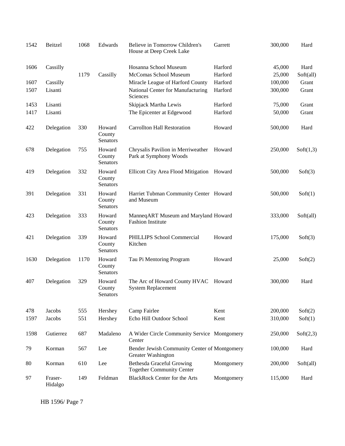| 1542 | Beitzel            | 1068 | Edwards                      | Believe in Tomorrow Children's<br>House at Deep Creek Lake           | Garrett    | 300,000 | Hard      |
|------|--------------------|------|------------------------------|----------------------------------------------------------------------|------------|---------|-----------|
| 1606 | Cassilly           |      |                              | Hosanna School Museum                                                | Harford    | 45,000  | Hard      |
|      |                    | 1179 | Cassilly                     | McComas School Museum                                                | Harford    | 25,000  | Soft(all) |
| 1607 | Cassilly           |      |                              | Miracle League of Harford County                                     | Harford    | 100,000 | Grant     |
| 1507 | Lisanti            |      |                              | National Center for Manufacturing<br>Sciences                        | Harford    | 300,000 | Grant     |
| 1453 | Lisanti            |      |                              | Skipjack Martha Lewis                                                | Harford    | 75,000  | Grant     |
| 1417 | Lisanti            |      |                              | The Epicenter at Edgewood                                            | Harford    | 50,000  | Grant     |
| 422  | Delegation         | 330  | Howard<br>County<br>Senators | <b>Carrollton Hall Restoration</b>                                   | Howard     | 500,000 | Hard      |
| 678  | Delegation         | 755  | Howard<br>County<br>Senators | Chrysalis Pavilion in Merriweather<br>Park at Symphony Woods         | Howard     | 250,000 | Soft(1,3) |
| 419  | Delegation         | 332  | Howard<br>County<br>Senators | Ellicott City Area Flood Mitigation Howard                           |            | 500,000 | Soft(3)   |
| 391  | Delegation         | 331  | Howard<br>County<br>Senators | Harriet Tubman Community Center Howard<br>and Museum                 |            | 500,000 | Soft(1)   |
| 423  | Delegation         | 333  | Howard<br>County<br>Senators | ManneqART Museum and Maryland Howard<br><b>Fashion Institute</b>     |            | 333,000 | Soft(all) |
| 421  | Delegation         | 339  | Howard<br>County<br>Senators | PHILLIPS School Commercial<br>Kitchen                                | Howard     | 175,000 | Soft(3)   |
| 1630 | Delegation         | 1170 | Howard<br>County<br>Senators | Tau Pi Mentoring Program                                             | Howard     | 25,000  | Soft(2)   |
| 407  | Delegation         | 329  | Howard<br>County<br>Senators | The Arc of Howard County HVAC<br><b>System Replacement</b>           | Howard     | 300,000 | Hard      |
| 478  | Jacobs             | 555  | Hershey                      | Camp Fairlee                                                         | Kent       | 200,000 | Soft(2)   |
| 1597 | Jacobs             | 551  | Hershey                      | Echo Hill Outdoor School                                             | Kent       | 310,000 | Soft(1)   |
| 1598 | Gutierrez          | 687  | Madaleno                     | A Wider Circle Community Service Montgomery<br>Center                |            | 250,000 | Soft(2,3) |
| 79   | Korman             | 567  | Lee                          | Bender Jewish Community Center of Montgomery<br>Greater Washington   |            | 100,000 | Hard      |
| 80   | Korman             | 610  | Lee                          | <b>Bethesda Graceful Growing</b><br><b>Together Community Center</b> | Montgomery | 200,000 | Soft(all) |
| 97   | Fraser-<br>Hidalgo | 149  | Feldman                      | <b>BlackRock Center for the Arts</b>                                 | Montgomery | 115,000 | Hard      |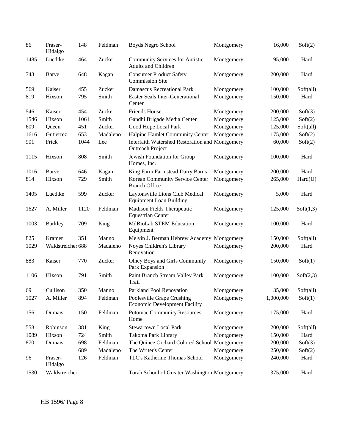| 86   | Fraser-<br>Hidalgo | 148  | Feldman  | Boyds Negro School                                                         | Montgomery | 16,000    | Soft(2)   |
|------|--------------------|------|----------|----------------------------------------------------------------------------|------------|-----------|-----------|
| 1485 | Luedtke            | 464  | Zucker   | <b>Community Services for Autistic</b><br><b>Adults and Children</b>       | Montgomery | 95,000    | Hard      |
| 743  | Barve              | 648  | Kagan    | <b>Consumer Product Safety</b><br><b>Commission Site</b>                   | Montgomery | 200,000   | Hard      |
| 569  | Kaiser             | 455  | Zucker   | <b>Damascus Recreational Park</b>                                          | Montgomery | 100,000   | Soft(all) |
| 819  | Hixson             | 795  | Smith    | <b>Easter Seals Inter-Generational</b><br>Center                           | Montgomery | 150,000   | Hard      |
| 546  | Kaiser             | 454  | Zucker   | <b>Friends House</b>                                                       | Montgomery | 200,000   | Soft(3)   |
| 1546 | Hixson             | 1061 | Smith    | Gandhi Brigade Media Center                                                | Montgomery | 125,000   | Soft(2)   |
| 609  | Queen              | 451  | Zucker   | Good Hope Local Park                                                       | Montgomery | 125,000   | Soft(all) |
| 1616 | Gutierrez          | 653  | Madaleno | Halpine Hamlet Community Center                                            | Montgomery | 175,000   | Soft(2)   |
| 901  | Frick              | 1044 | Lee      | Interfaith Watershed Restoration and Montgomery<br><b>Outreach Project</b> |            | 60,000    | Soft(2)   |
| 1115 | Hixson             | 808  | Smith    | Jewish Foundation for Group<br>Homes, Inc.                                 | Montgomery | 100,000   | Hard      |
| 1016 | Barve              | 646  | Kagan    | King Farm Farmstead Dairy Barns                                            | Montgomery | 200,000   | Hard      |
| 814  | Hixson             | 729  | Smith    | Korean Community Service Center<br><b>Branch Office</b>                    | Montgomery | 265,000   | Hard(U)   |
| 1405 | Luedtke            | 599  | Zucker   | Laytonsville Lions Club Medical<br><b>Equipment Loan Building</b>          | Montgomery | 5,000     | Hard      |
| 1627 | A. Miller          | 1120 | Feldman  | Madison Fields Therapeutic<br><b>Equestrian Center</b>                     | Montgomery | 125,000   | Soft(1,3) |
| 1003 | <b>Barkley</b>     | 709  | King     | <b>MdBioLab STEM Education</b><br>Equipment                                | Montgomery | 100,000   | Hard      |
| 825  | Kramer             | 351  | Manno    | Melvin J. Berman Hebrew Academy Montgomery                                 |            | 150,000   | Soft(all) |
| 1029 | Waldstreicher 688  |      | Madaleno | Noyes Children's Library<br>Renovation                                     | Montgomery | 200,000   | Hard      |
| 883  | Kaiser             | 770  | Zucker   | Olney Boys and Girls Community<br>Park Expansion                           | Montgomery | 150,000   | Soft(1)   |
| 1106 | Hixson             | 791  | Smith    | Paint Branch Stream Valley Park<br>Trail                                   | Montgomery | 100,000   | Soft(2,3) |
| 69   | Cullison           | 350  | Manno    | Parkland Pool Renovation                                                   | Montgomery | 35,000    | Soft(all) |
| 1027 | A. Miller          | 894  | Feldman  | Poolesville Grape Crushing<br><b>Economic Development Facility</b>         | Montgomery | 1,000,000 | Soft(1)   |
| 156  | Dumais             | 150  | Feldman  | <b>Potomac Community Resources</b><br>Home                                 | Montgomery | 175,000   | Hard      |
| 558  | Robinson           | 381  | King     | <b>Stewartown Local Park</b>                                               | Montgomery | 200,000   | Soft(all) |
| 1089 | Hixson             | 724  | Smith    | Takoma Park Library                                                        | Montgomery | 150,000   | Hard      |
| 870  | Dumais             | 698  | Feldman  | The Quince Orchard Colored School Montgomery                               |            | 200,000   | Soft(3)   |
|      |                    | 689  | Madaleno | The Writer's Center                                                        | Montgomery | 250,000   | Soft(2)   |
| 96   | Fraser-<br>Hidalgo | 126  | Feldman  | TLC's Katherine Thomas School                                              | Montgomery | 240,000   | Hard      |
| 1530 | Waldstreicher      |      |          | Torah School of Greater Washington Montgomery                              |            | 375,000   | Hard      |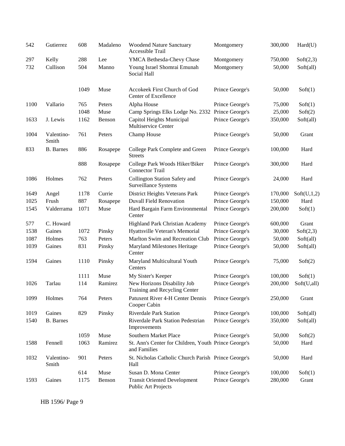| 542  | Gutierrez           | 608  | Madaleno | <b>Woodend Nature Sanctuary</b><br>Accessible Trail                  | Montgomery      | 300,000 | Hard(U)     |
|------|---------------------|------|----------|----------------------------------------------------------------------|-----------------|---------|-------------|
| 297  | Kelly               | 288  | Lee      | YMCA Bethesda-Chevy Chase                                            | Montgomery      | 750,000 | Soft(2,3)   |
| 732  | Cullison            | 504  | Manno    | Young Israel Shomrai Emunah<br>Social Hall                           | Montgomery      | 50,000  | Soft(all)   |
|      |                     | 1049 | Muse     | Accokeek First Church of God<br>Center of Excellence                 | Prince George's | 50,000  | Soft(1)     |
| 1100 | Vallario            | 765  | Peters   | Alpha House                                                          | Prince George's | 75,000  | Soft(1)     |
|      |                     | 1048 | Muse     | Camp Springs Elks Lodge No. 2332 Prince George's                     |                 | 25,000  | Soft(2)     |
| 1633 | J. Lewis            | 1162 | Benson   | Capitol Heights Municipal<br>Multiservice Center                     | Prince George's | 350,000 | Soft(all)   |
| 1004 | Valentino-<br>Smith | 761  | Peters   | Champ House                                                          | Prince George's | 50,000  | Grant       |
| 833  | <b>B.</b> Barnes    | 886  | Rosapepe | College Park Complete and Green<br><b>Streets</b>                    | Prince George's | 100,000 | Hard        |
|      |                     | 888  | Rosapepe | College Park Woods Hiker/Biker<br><b>Connector Trail</b>             | Prince George's | 300,000 | Hard        |
| 1086 | Holmes              | 762  | Peters   | Collington Station Safety and<br>Surveillance Systems                | Prince George's | 24,000  | Hard        |
| 1649 | Angel               | 1178 | Currie   | District Heights Veterans Park                                       | Prince George's | 170,000 | Soft(U,1,2) |
| 1025 | Frush               | 887  | Rosapepe | <b>Duvall Field Renovation</b>                                       | Prince George's | 150,000 | Hard        |
| 1545 | Valderrama          | 1071 | Muse     | Hard Bargain Farm Environmental<br>Center                            | Prince George's | 200,000 | Soft(1)     |
| 577  | C. Howard           |      |          | Highland Park Christian Academy                                      | Prince George's | 600,000 | Grant       |
| 1538 | Gaines              | 1072 | Pinsky   | Hyattsville Veteran's Memorial                                       | Prince George's | 30,000  | Soft(2,3)   |
| 1087 | Holmes              | 763  | Peters   | Marlton Swim and Recreation Club                                     | Prince George's | 50,000  | Soft(all)   |
| 1039 | Gaines              | 831  | Pinsky   | Maryland Milestones Heritage<br>Center                               | Prince George's | 50,000  | Soft(all)   |
| 1594 | Gaines              | 1110 | Pinsky   | Maryland Multicultural Youth<br>Centers                              | Prince George's | 75,000  | Soft(2)     |
|      |                     | 1111 | Muse     | My Sister's Keeper                                                   | Prince George's | 100,000 | Soft(1)     |
| 1026 | Tarlau              | 114  | Ramirez  | New Horizons Disability Job<br>Training and Recycling Center         | Prince George's | 200,000 | Soft(U,all) |
| 1099 | Holmes              | 764  | Peters   | Patuxent River 4-H Center Dennis<br>Cooper Cabin                     | Prince George's | 250,000 | Grant       |
| 1019 | Gaines              | 829  | Pinsky   | <b>Riverdale Park Station</b>                                        | Prince George's | 100,000 | Soft(all)   |
| 1540 | <b>B.</b> Barnes    |      |          | Riverdale Park Station Pedestrian<br>Improvements                    | Prince George's | 350,000 | Soft(all)   |
|      |                     | 1059 | Muse     | Southern Market Place                                                | Prince George's | 50,000  | Soft(2)     |
| 1588 | Fennell             | 1063 | Ramirez  | St. Ann's Center for Children, Youth Prince George's<br>and Families |                 | 50,000  | Hard        |
| 1032 | Valentino-<br>Smith | 901  | Peters   | St. Nicholas Catholic Church Parish Prince George's<br>Hall          |                 | 50,000  | Hard        |
|      |                     | 614  | Muse     | Susan D. Mona Center                                                 | Prince George's | 100,000 | Soft(1)     |
| 1593 | Gaines              | 1175 | Benson   | <b>Transit Oriented Development</b><br>Public Art Projects           | Prince George's | 280,000 | Grant       |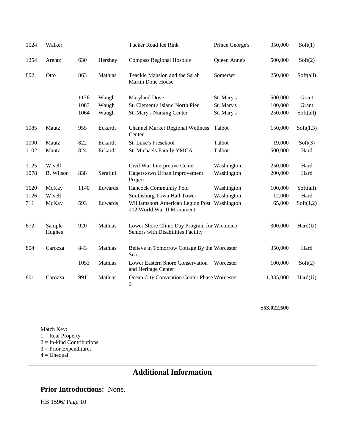| 1524 | Walker            |      |          | Tucker Road Ice Rink                                                              | Prince George's | 350,000   | Soft(1)   |
|------|-------------------|------|----------|-----------------------------------------------------------------------------------|-----------------|-----------|-----------|
| 1254 | Arentz            | 630  | Hershey  | <b>Compass Regional Hospice</b>                                                   | Queen Anne's    | 500,000   | Soft(2)   |
| 802  | Otto              | 863  | Mathias  | Teackle Mansion and the Sarah<br>Martin Done House                                | Somerset        | 250,000   | Soft(all) |
|      |                   | 1176 | Waugh    | <b>Maryland Dove</b>                                                              | St. Mary's      | 500,000   | Grant     |
|      |                   | 1083 | Waugh    | St. Clement's Island North Pier                                                   | St. Mary's      | 100,000   | Grant     |
|      |                   | 1064 | Waugh    | St. Mary's Nursing Center                                                         | St. Mary's      | 250,000   | Soft(all) |
| 1085 | Mautz             | 955  | Eckardt  | <b>Channel Marker Regional Wellness</b><br>Center                                 | Talbot          | 150,000   | Soft(1,3) |
| 1090 | Mautz             | 822  | Eckardt  | St. Luke's Preschool                                                              | Talbot          | 19,000    | Soft(3)   |
| 1102 | Mautz             | 824  | Eckardt  | St. Michaels Family YMCA                                                          | Talbot          | 500,000   | Hard      |
| 1125 | Wivell            |      |          | Civil War Interpretive Center                                                     | Washington      | 250,000   | Hard      |
| 1078 | B. Wilson         | 838  | Serafini | Hagerstown Urban Improvement<br>Project                                           | Washington      | 200,000   | Hard      |
| 1620 | McKay             | 1140 | Edwards  | Hancock Community Pool                                                            | Washington      | 100,000   | Soft(all) |
| 1126 | Wivell            |      |          | Smithsburg Town Hall Tower                                                        | Washington      | 12,000    | Hard      |
| 711  | McKay             | 593  | Edwards  | Williamsport American Legion Post Washington<br>202 World War II Monument         |                 | 65,000    | Soft(1,2) |
| 672  | Sample-<br>Hughes | 920  | Mathias  | Lower Shore Clinic Day Program for Wicomico<br>Seniors with Disabilities Facility |                 | 300,000   | Hard(U)   |
| 804  | Carozza           | 843  | Mathias  | Believe in Tomorrow Cottage By the Worcester<br>Sea                               |                 | 350,000   | Hard      |
|      |                   | 1053 | Mathias  | Lower Eastern Shore Conservation<br>and Heritage Center                           | Worcester       | 100,000   | Soft(2)   |
| 801  | Carozza           | 991  | Mathias  | Ocean City Convention Center Phase Worcester<br>3                                 |                 | 1,335,000 | Hard(U)   |

**\$53,022,500**

Match Key:  $1 = Real Property$ 2 = In-kind Contributions 3 = Prior Expenditures  $4 =$ Unequal

# **Additional Information**

### **Prior Introductions:** None.